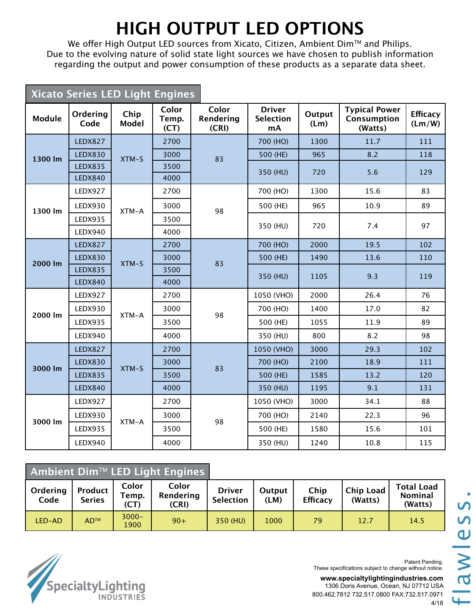## **HIGH OUTPUT LED OPTIONS**

We offer High Output LED sources from Xicato, Citizen, Ambient Dim™ and Philips. Due to the evolving nature of solid state light sources we have chosen to publish information regarding the output and power consumption of these products as a separate data sheet.

| Xicato Series LED Light Engines |                  |                      |                        |                             |                                         |                |                                                |                           |
|---------------------------------|------------------|----------------------|------------------------|-----------------------------|-----------------------------------------|----------------|------------------------------------------------|---------------------------|
| Module                          | Ordering<br>Code | Chip<br><b>Model</b> | Color<br>Temp.<br>(CT) | Color<br>Rendering<br>(CRI) | <b>Driver</b><br><b>Selection</b><br>mA | Output<br>(Lm) | <b>Typical Power</b><br>Consumption<br>(Watts) | <b>Efficacy</b><br>(Lm/W) |
|                                 | <b>LEDX827</b>   | $XTM-S$              | 2700                   |                             | 700 (HO)                                | 1300           | 11.7                                           | 111                       |
| 1300 lm                         | <b>LEDX830</b>   |                      | 3000                   | 83                          | 500 (HE)                                | 965            | 8.2                                            | 118                       |
|                                 | <b>LEDX835</b>   |                      | 3500                   |                             | 350 (HU)                                | 720            | 5.6                                            | 129                       |
|                                 | <b>LEDX840</b>   |                      | 4000                   |                             |                                         |                |                                                |                           |
|                                 | LEDX927          |                      | 2700                   |                             | 700 (HO)                                | 1300           | 15.6                                           | 83                        |
| 1300 lm                         | LEDX930          | XTM-A                | 3000                   | 98                          | 500 (HE)                                | 965            | 10.9                                           | 89                        |
|                                 | <b>LEDX935</b>   |                      | 3500                   |                             | 350 (HU)                                | 720            | 7.4                                            | 97                        |
|                                 | LEDX940          |                      | 4000                   |                             |                                         |                |                                                |                           |
|                                 | <b>LEDX827</b>   | XTM-S                | 2700                   | 83                          | 700 (HO)                                | 2000           | 19.5                                           | 102                       |
| 2000 lm                         | <b>LEDX830</b>   |                      | 3000                   |                             | 500 (HE)                                | 1490           | 13.6                                           | 110                       |
|                                 | <b>LEDX835</b>   |                      | 3500                   |                             | 350 (HU)                                | 1105           | 9.3                                            | 119                       |
|                                 | <b>LEDX840</b>   |                      | 4000                   |                             |                                         |                |                                                |                           |
|                                 | LEDX927          |                      | 2700                   | 98                          | 1050 (VHO)                              | 2000           | 26.4                                           | 76                        |
| 2000 lm                         | LEDX930          | XTM-A                | 3000                   |                             | 700 (HO)                                | 1400           | 17.0                                           | 82                        |
|                                 | <b>LEDX935</b>   |                      | 3500                   |                             | 500 (HE)                                | 1055           | 11.9                                           | 89                        |
|                                 | LEDX940          |                      | 4000                   |                             | 350 (HU)                                | 800            | 8.2                                            | 98                        |
|                                 | LEDX827          |                      | 2700                   |                             | 1050 (VHO)                              | 3000           | 29.3                                           | 102                       |
| 3000 lm                         | <b>LEDX830</b>   | $XTM-S$              | 3000                   | 83                          | 700 (HO)                                | 2100           | 18.9                                           | 111                       |
|                                 | <b>LEDX835</b>   |                      | 3500                   |                             | 500 (HE)                                | 1585           | 13.2                                           | 120                       |
|                                 | <b>LEDX840</b>   |                      | 4000                   |                             | 350 (HU)                                | 1195           | 9.1                                            | 131                       |
|                                 | LEDX927          | XTM-A                | 2700                   | 98                          | 1050 (VHO)                              | 3000           | 34.1                                           | 88                        |
|                                 | LEDX930          |                      | 3000                   |                             | 700 (HO)                                | 2140           | 22.3                                           | 96                        |
| 3000 lm                         | <b>LEDX935</b>   |                      | 3500                   |                             | 500 (HE)                                | 1580           | 15.6                                           | 101                       |
|                                 | LEDX940          |                      | 4000                   |                             | 350 (HU)                                | 1240           | 10.8                                           | 115                       |

| Ambient Dim™ LED Light Engines |                          |                                                       |       |                                   |                |                         |                             |                                         |
|--------------------------------|--------------------------|-------------------------------------------------------|-------|-----------------------------------|----------------|-------------------------|-----------------------------|-----------------------------------------|
| Ordering<br>Code               | Product<br><b>Series</b> | Color<br>Color<br>Rendering<br>Temp.<br>(CT)<br>(CRI) |       | <b>Driver</b><br><b>Selection</b> | Output<br>(LM) | Chip<br><b>Efficacy</b> | <b>Chip Load</b><br>(Watts) | <b>Total Load</b><br>Nominal<br>(Watts) |
| LED-AD                         | <b>AD™</b>               | $3000 -$<br>1900                                      | $90+$ | 350 (HU)                          | 1000           | 79                      | 12.7                        | 14.5                                    |



Patent Pending. These specifications subject to change without notice.

## **www.specialtylightingindustries.com** 1306 Doris Avenue, Ocean, NJ 07712 USA 800.462.7812 732.517.0800 FAX:732.517.0971 4/18